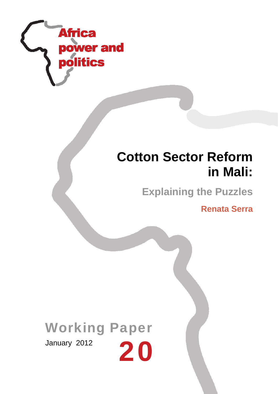

# **Cotton Sector Reform in Mali:**

**Explaining the Puzzles**

**Renata Serra**

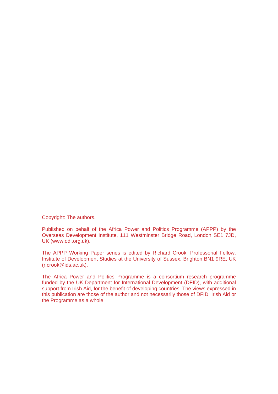Copyright: The authors.

Published on behalf of the Africa Power and Politics Programme (APPP) by the Overseas Development Institute, 111 Westminster Bridge Road, London SE1 7JD, UK (www.odi.org.uk).

The APPP Working Paper series is edited by Richard Crook, Professorial Fellow, Institute of Development Studies at the University of Sussex, Brighton BN1 9RE, UK (r.crook@ids.ac.uk).

The Africa Power and Politics Programme is a consortium research programme funded by the UK Department for International Development (DFID), with additional support from Irish Aid, for the benefit of developing countries. The views expressed in this publication are those of the author and not necessarily those of DFID, Irish Aid or the Programme as a whole.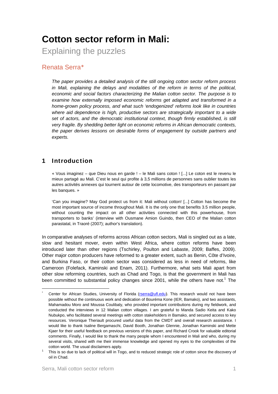# **Cotton sector reform in Mali:**

Explaining the puzzles

# Renata Serra\*

*The paper provides a detailed analysis of the still ongoing cotton sector reform process in Mali, explaining the delays and modalities of the reform in terms of the political, economic and social factors characterizing the Malian cotton sector. The purpose is to examine how externally imposed economic reforms get adapted and transformed in a home-grown policy process, and what such 'endogenized' reforms look like in countries where aid dependence is high, productive sectors are strategically important to a wide set of actors, and the democratic institutional context, though firmly established, is still very fragile. By shedding better light on economic reforms in African democratic contexts, the paper derives lessons on desirable forms of engagement by outside partners and experts.* 

# 1 Introduction

« Vous imaginez – que Dieu nous en garde ! – le Mali sans coton ! [...] Le coton est le revenu le mieux partagé au Mali. C'est le seul qui profite à 3,5 millions de personnes sans oublier toutes les autres activités annexes qui tournent autour de cette locomotive, des transporteurs en passant par les banques. »

'Can you imagine? May God protect us from it: Mali without cotton! [...] Cotton has become the most important source of income throughout Mali. It is the only one that benefits 3.5 million people, without counting the impact on all other activities connected with this powerhouse, from transporters to banks' (interview with Ousmane Amion Guindo, then CEO of the Malian cotton parastatal, in Traoré (2007); author's translation).

In comparative analyses of reforms across African cotton sectors, Mali is singled out as a late, slow and hesitant mover, even within West Africa, where cotton reforms have been introduced later than other regions (Tschirley, Poulton and Labaste, 2009; Baffes, 2009). Other major cotton producers have reformed to a greater extent, such as Benin, Côte d'Ivoire, and Burkina Faso, or their cotton sector was considered as less in need of reforms, like Cameroon (Folefack, Kaminski and Enam, 2011). Furthermore, what sets Mali apart from other slow reforming countries, such as Chad and Togo, is that the government in Mali has been committed to substantial policy changes since 2001, while the others have not.<sup>1</sup> The

<sup>\*</sup> Center for African Studies, University of Florida (rserra@ufl.edu). This research would not have been possible without the continuous work and dedication of Bouréma Kone (IER, Bamako), and two assistants, Mahamadou Moro and Moussa Coulibaly, who provided important contributions during my fieldwork, and conducted the interviews in 12 Malian cotton villages. I am grateful to Manda Sadio Keita and Kako Nubukpo, who facilitated several meetings with cotton stakeholders in Bamako, and secured access to key resources. Veronique Theriault procured useful data from the CMDT and overall research assistance. I would like to thank Isaline Bergamaschi, David Booth, Jonathan Glennie, Jonathan Kaminski and Mette Kjaer for their useful feedback on previous versions of this paper, and Richard Crook for valuable editorial comments. Finally, I would like to thank the many people whom I encountered in Mali and who, during my several visits, shared with me their immense knowledge and opened my eyes to the complexities of the cotton world. The usual disclaimers apply.

This is so due to lack of political will in Togo, and to reduced strategic role of cotton since the discovery of oil in Chad.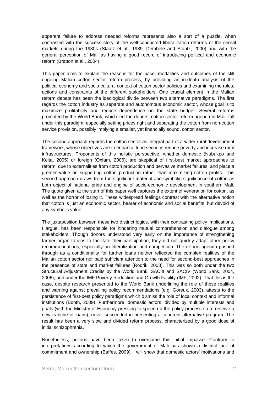apparent failure to address needed reforms represents also a sort of a puzzle, when contrasted with the success story of the well-conducted liberalization reforms of the cereal markets during the 1980s (Staatz et al., 1989; Dembele and Staatz, 2000) and with the general perception of Mali as having a good record of introducing political and economic reform (Bratton et al., 2004).

This paper aims to explain the reasons for the pace, modalities and outcomes of the still ongoing Malian cotton sector reform process, by providing an in-depth analysis of the political economy and socio-cultural context of cotton sector policies and examining the roles, actions and constraints of the different stakeholders. One crucial element in the Malian reform debate has been the ideological divide between two alternative paradigms. The first regards the cotton industry as separate and autonomous economic sector, whose goal is to maximize profitability and reduce dependence on the state budget. Several reforms promoted by the World Bank, which led the donors' cotton sector reform agenda in Mali, fall under this paradigm, especially setting prices right and separating the cotton from non-cotton service provision, possibly implying a smaller, yet financially sound, cotton sector.

The second approach regards the cotton sector as integral part of a wider rural development framework, whose objectives are to enhance food security, reduce poverty and increase rural infrastructures. Proponents of this holistic perspective, whether domestic (Nubukpo and Keita, 2005) or foreign (Oxfam, 2006), are skeptical of first-best market approaches to reform, due to externalities from cotton production and pervasive market failures, and place a greater value on supporting cotton production rather than maximizing cotton profits. This second approach draws from the significant material and symbolic significance of cotton as both object of national pride and engine of socio-economic development in southern Mali. The quote given at the start of this paper well captures the extent of veneration for cotton, as well as the horror of losing it. These widespread feelings contrast with the alternative notion that cotton is just an economic sector, bearer of economic and social benefits, but devoid of any symbolic value.

The juxtaposition between these two distinct logics, with their contrasting policy implications, I argue, has been responsible for hindering mutual comprehension and dialogue among stakeholders. Though donors understood very early on the importance of strengthening farmer organizations to facilitate their participation, they did not quickly adapt other policy recommendations, especially on liberalization and competition. The reform agenda pushed through as a conditionality for further loans neither reflected the complex realities of the Malian cotton sector nor paid sufficient attention to the need for second-best approaches in the presence of state and market failures (Rodrik, 2008). This was so both under the two Structural Adjustment Credits by the World Bank, SACIII and SACIV (World Bank, 2004, 2006), and under the IMF Poverty Reduction and Growth Facility (IMF, 2002). That this is the case, despite research presented to the World Bank underlining the role of these realities and warning against prevailing policy recommendations (e.g. Goreux, 2003), attests to the persistence of first-best policy paradigms which dismiss the role of local context and informal institutions (Booth, 2009). Furthermore, domestic actors, divided by multiple interests and goals (with the Ministry of Economy pressing to speed up the policy process so to receive a new tranche of loans), never succeeded in presenting a coherent alternative program. The result has been a very slow and divided reform process, characterized by a good dose of initial schizophrenia.

Nonetheless, actions have been taken to overcome this initial impasse. Contrary to interpretations according to which the government of Mali has shown a distinct lack of commitment and ownership (Baffes, 2009), I will show that domestic actors' motivations and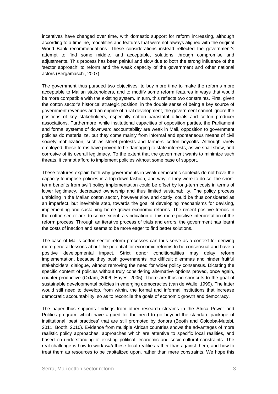incentives have changed over time, with domestic support for reform increasing, although according to a timeline, modalities and features that were not always aligned with the original World Bank recommendations. These considerations instead reflected the government's attempt to find some middle, and acceptable, solutions through compromise and adjustments. This process has been painful and slow due to both the strong influence of the 'sector approach' to reform and the weak capacity of the government and other national actors (Bergamaschi, 2007).

The government thus pursued two objectives: to buy more time to make the reforms more acceptable to Malian stakeholders, and to modify some reform features in ways that would be more compatible with the existing system. In turn, this reflects two constraints. First, given the cotton sector's historical strategic position, in the double sense of being a key source of government revenues and an engine of rural development, the government cannot ignore the positions of key stakeholders, especially cotton parastatal officials and cotton producer associations. Furthermore, while institutional capacities of opposition parties, the Parliament and formal systems of downward accountability are weak in Mali, opposition to government policies do materialize, but they come mainly from informal and spontaneous means of civil society mobilization, such as street protests and farmers' cotton boycotts. Although rarely employed, these forms have proven to be damaging to state interests, as we shall show, and corrosive of its overall legitimacy. To the extent that the government wants to minimize such threats, it cannot afford to implement policies without some base of support.

These features explain both why governments in weak democratic contexts do not have the capacity to impose policies in a top-down fashion, and why, if they were to do so, the shortterm benefits from swift policy implementation could be offset by long-term costs in terms of lower legitimacy, decreased ownership and thus limited sustainability. The policy process unfolding in the Malian cotton sector, however slow and costly, could be thus considered as an imperfect, but inevitable step, towards the goal of developing mechanisms for devising, implementing and sustaining home-grown economic reforms. The recent positive trends in the cotton sector are, to some extent, a vindication of this more positive interpretation of the reform process. Through an iterative process of trials and errors, the government has learnt the costs of inaction and seems to be more eager to find better solutions.

The case of Mali's cotton sector reform processes can thus serve as a context for deriving more general lessons about the potential for economic reforms to be consensual and have a positive developmental impact. Strict donor conditionalities may delay reform implementation, because they push governments into difficult dilemmas and hinder fruitful stakeholders' dialogue, without removing the need for wider policy consensus. Dictating the specific content of policies without truly considering alternative options proved, once again, counter-productive (Oxfam, 2006; Hayes, 2005). There are thus no shortcuts to the goal of sustainable developmental policies in emerging democracies (van de Walle, 1999). The latter would still need to develop, from within, the formal and informal institutions that increase democratic accountability, so as to reconcile the goals of economic growth and democracy.

The paper thus supports findings from other research streams in the Africa Power and Politics program, which have argued for the need to go beyond the standard package of institutional 'best practices' that are still promoted by donors (Booth and Golooba-Mutebi, 2011; Booth, 2010). Evidence from multiple African countries shows the advantages of more realistic policy approaches, approaches which are attentive to specific local realities, and based on understanding of existing political, economic and socio-cultural constraints. The real challenge is how to work *with* these local realities rather than against them, and how to treat them as resources to be capitalized upon, rather than mere constraints. We hope this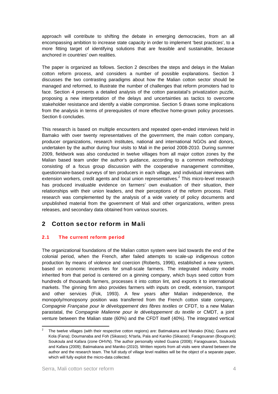approach will contribute to shifting the debate in emerging democracies, from an all encompassing ambition to increase state capacity in order to implement 'best practices', to a more fitting target of identifying solutions that are feasible and sustainable, because anchored in countries' own realities.

The paper is organized as follows. Section 2 describes the steps and delays in the Malian cotton reform process, and considers a number of possible explanations. Section 3 discusses the two contrasting paradigms about how the Malian cotton sector should be managed and reformed, to illustrate the number of challenges that reform promoters had to face. Section 4 presents a detailed analysis of the cotton parastatal's privatization puzzle, proposing a new interpretation of the delays and uncertainties as tactics to overcome stakeholder resistance and identify a viable compromise. Section 5 draws some implications from the analysis in terms of prerequisites of more effective home-grown policy processes. Section 6 concludes.

This research is based on multiple encounters and repeated open-ended interviews held in Bamako with over twenty representatives of the government, the main cotton company, producer organizations, research institutes, national and international NGOs and donors, undertaken by the author during four visits to Mali in the period 2008-2010. During summer 2009, fieldwork was also conducted in twelve villages from all major cotton zones by the Malian based team under the author's guidance, according to a common methodology consisting of a focus group discussion with the cooperative management committee, questionnaire-based surveys of ten producers in each village, and individual interviews with extension workers, credit agents and local union representatives. $2$  This micro-level research has produced invaluable evidence on farmers' own evaluation of their situation, their relationships with their union leaders, and their perceptions of the reform process. Field research was complemented by the analysis of a wide variety of policy documents and unpublished material from the government of Mali and other organizations, written press releases, and secondary data obtained from various sources.

# 2 Cotton sector reform in Mali

### 2.1 The current reform period

The organizational foundations of the Malian cotton system were laid towards the end of the colonial period, when the French, after failed attempts to scale-up indigenous cotton production by means of violence and coercion (Roberts, 1996), established a new system, based on economic incentives for small-scale farmers. The integrated industry model inherited from that period is centered on a ginning company, which buys seed cotton from hundreds of thousands farmers, processes it into cotton lint, and exports it to international markets. The ginning firm also provides farmers with inputs on credit, extension, transport and other services (Fok, 1993). A few years after Malian independence, the monopoly/monopsony position was transferred from the French cotton state company, *Compagnie Française pour le développement des fibres textiles* or CFDT, to a new Malian parastatal, the *Compagnie Malienne pour le développement du textile* or CMDT, a joint venture between the Malian state (60%) and the CFDT itself (40%). The integrated vertical

<sup>2</sup> The twelve villages (with their respective cotton regions) are: Batimakana and Manako (Kita); Guana and Kola (Fana); Doumanaba and Foh (Sikasso); N'tarla, Pala and Kaniko (Sikasso); Faragouaran (Bougouni); Soukoula and Kafara (zone OHVN). The author personally visited Guana (2008); Faragouaran, Soukoula and Kafara (2009); Batimakana and Maniko (2010). Written reports from all visits were shared between the author and the research team. The full study of village level realities will be the object of a separate paper, which will fully exploit the micro-data collected.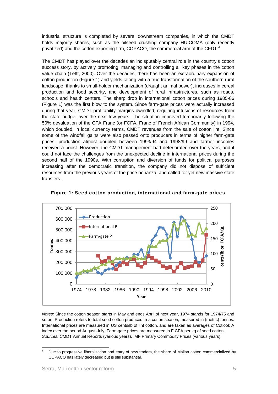industrial structure is completed by several downstream companies, in which the CMDT holds majority shares, such as the oilseed crushing company HUICOMA (only recently privatized) and the cotton exporting firm, COPACO, the commercial arm of the CFDT.<sup>3</sup>

The CMDT has played over the decades an indisputably central role in the country's cotton success story, by actively promoting, managing and controlling all key phases in the cotton value chain (Tefft, 2000). Over the decades, there has been an extraordinary expansion of cotton production (Figure 1) and yields, along with a true transformation of the southern rural landscape, thanks to small-holder mechanization (draught animal power), increases in cereal production and food security, and development of rural infrastructures, such as roads, schools and health centers. The sharp drop in international cotton prices during 1985-86 (Figure 1) was the first blow to the system. Since farm-gate prices were actually increased during that year, CMDT profitability margins dwindled, requiring infusions of resources from the state budget over the next few years. The situation improved temporarily following the 50% devaluation of the CFA Franc (or FCFA, Franc of French African Community) in 1994, which doubled, in local currency terms, CMDT revenues from the sale of cotton lint. Since some of the windfall gains were also passed onto producers in terms of higher farm-gate prices, production almost doubled between 1993/94 and 1998/99 and farmer incomes received a boost. However, the CMDT management had deteriorated over the years, and it could not face the challenges from the unexpected decline in international prices during the second half of the 1990s. With corruption and diversion of funds for political purposes increasing after the democratic transition, the company did not dispose of sufficient resources from the previous years of the price bonanza, and called for yet new massive state transfers.



Figure 1: Seed cotton production, international and farm-gate prices

*Notes:* Since the cotton season starts in May and ends April of next year, 1974 stands for 1974/75 and so on. Production refers to total seed cotton produced in a cotton season, measured in (metric) tonnes. International prices are measured in US cents/lb of lint cotton, and are taken as averages of Cotlook A index over the period August-July. Farm-gate prices are measured in F CFA per kg of seed cotton. *Sources:* CMDT Annual Reports (various years), IMF Primary Commodity Prices (various years).

 3 Due to progressive liberalization and entry of new traders, the share of Malian cotton commercialized by COPACO has lately decreased but is still substantial.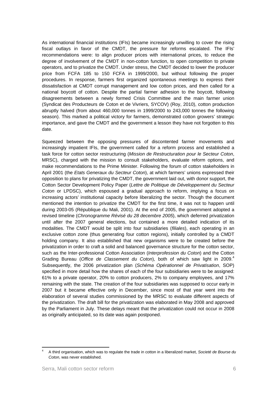As international financial institutions (IFIs) became increasingly unwilling to cover the rising fiscal outlays in favor of the CMDT, the pressure for reforms escalated. The IFIs' recommendations were: to align producer prices with international prices, to reduce the degree of involvement of the CMDT in non-cotton function, to open competition to private operators, and to privatize the CMDT. Under stress, the CMDT decided to lower the producer price from FCFA 185 to 150 FCFA in 1999/2000, but without following the proper procedures. In response, farmers first organized spontaneous meetings to express their dissatisfaction at CMDT corrupt management and low cotton prices, and then called for a national boycott of cotton. Despite the partial farmer adhesion to the boycott, following disagreements between a newly formed Crisis Committee and the main farmer union (Syndicat des Producteurs de Coton et de Vivriers, SYCOV) (Roy, 2010), cotton production abruptly halved (from about 460,000 tonnes in 1999/2000 to 243,000 tonnes the following season). This marked a political victory for farmers, demonstrated cotton growers' strategic importance, and gave the CMDT and the government a lesson they have not forgotten to this date.

Squeezed between the opposing pressures of discontented farmer movements and increasingly impatient IFIs, the government called for a reform process and established a task force for cotton sector restructuring (*Mission de Restructuration pour le Secteur Coton*, MRSC), charged with the mission to consult stakeholders, evaluate reform options, and make recommendations to the Prime Minister. Following the forum of cotton stakeholders in April 2001 (the *Etats Generaux du Secteur Coton*), at which farmers' unions expressed their opposition to plans for privatizing the CMDT, the government laid out, with donor support, the Cotton Sector Development Policy Paper (*Lettre de Politique de Développement du Secteur Coton* or LPDSC), which espoused a gradual approach to reform, implying a focus on increasing actors' institutional capacity before liberalizing the sector. Though the document mentioned the intention to privatize the CMDT for the first time, it was not to happen until during 2003-05 (République du Mali, 2001). At the end of 2005, the government adopted a revised timeline (*Chronogramme Révisé du 28 decembre 2005*), which deferred privatization until after the 2007 general elections, but contained a more detailed indication of its modalities. The CMDT would be split into four subsidiaries (*filiales*), each operating in an exclusive cotton zone (thus generating four cotton regions), initially controlled by a CMDT holding company. It also established that new organisms were to be created before the privatization in order to craft a solid and balanced governance structure for the cotton sector, such as the Inter-professional Cotton Association (*Interprofession du Coton*) and the Cotton Grading Bureau (*Office de Classement du Coton*), both of which saw light in 2009.4 Subsequently, the 2006 privatization plan (*Schéma Opérationnel de Privatisation*, SOP) specified in more detail how the shares of each of the four subsidiaries were to be assigned: 61% to a private operator, 20% to cotton producers, 2% to company employees, and 17% remaining with the state. The creation of the four subsidiaries was supposed to occur early in 2007 but it became effective only in December, since most of that year went into the elaboration of several studies commissioned by the MRSC to evaluate different aspects of the privatization. The draft bill for the privatization was elaborated in May 2008 and approved by the Parliament in July. These delays meant that the privatization could not occur in 2008 as originally anticipated, so its date was again postponed.

<sup>4</sup> A third organisation, which was to regulate the trade in cotton in a liberalized market, *Societé de Bourse du Coton*, was never established.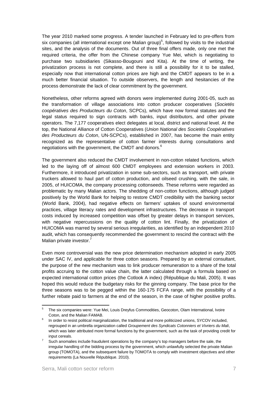The year 2010 marked some progress. A tender launched in February led to pre-offers from six companies (all international except one Malian group)<sup>5</sup>, followed by visits to the industrial sites, and the analysis of the documents. Out of three final offers made, only one met the required criteria, the offer from the Chinese company Yue Mei, which is negotiating to purchase two subsidiaries (Sikasso-Bougouni and Kita). At the time of writing, the privatization process is not complete, and there is still a possibility for it to be stalled, especially now that international cotton prices are high and the CMDT appears to be in a much better financial situation. To outside observers, the length and hesitancies of the process demonstrate the lack of clear commitment by the government.

Nonetheless, other reforms agreed with donors were implemented during 2001-05, such as the transformation of village associations into cotton producer cooperatives (*Societés coopératives des Producteurs du Coton*, SCPCs), which have now formal statutes and the legal status required to sign contracts with banks, input distributors, and other private operators. The 7,177 cooperatives elect delegates at local, district and national level. At the top, the National Alliance of Cotton Cooperatives (*Union National des Societés Coopératives des Producteurs du Coton*, UN-SCPCs), established in 2007, has become the main entity recognized as the representative of cotton farmer interests during consultations and negotiations with the government, the CMDT and donors.<sup>6</sup>

The government also reduced the CMDT involvement in non-cotton related functions, which led to the laying off of almost 600 CMDT employees and extension workers in 2003. Furthermore, it introduced privatization in some sub-sectors, such as transport, with private truckers allowed to haul part of cotton production, and oilseed crushing, with the sale, in 2005, of HUICOMA, the company processing cottonseeds. These reforms were regarded as problematic by many Malian actors. The shedding of non-cotton functions, although judged positively by the World Bank for helping to restore CMDT credibility with the banking sector (World Bank, 2004), had negative effects on farmers' uptakes of sound environmental practices, village literacy rates and development infrastructures. The decrease in transport costs induced by increased competition was offset by greater delays in transport services, with negative repercussions on the quality of cotton lint. Finally, the privatization of HUICOMA was marred by several serious irregularities, as identified by an independent 2010 audit, which has consequently recommended the government to rescind the contract with the Malian private investor.<sup>7</sup>

Even more controversial was the new price determination mechanism adopted in early 2005 under SAC IV, and applicable for three cotton seasons. Prepared by an external consultant, the purpose of the new mechanism was to link producer remuneration to a share of the total profits accruing to the cotton value chain, the latter calculated through a formula based on expected international cotton prices (the Cotlook A index) (République du Mali, 2005). It was hoped this would reduce the budgetary risks for the ginning company. The base price for the three seasons was to be pegged within the 160-175 FCFA range, with the possibility of a further rebate paid to farmers at the end of the season, in the case of higher positive profits.

<sup>5</sup> The six companies were: Yue Mei, Louis Dreyfus Commodities, Geocoton, Olam International, Ivoire Coton, and the Malian FAMAB. 6

In order to resist political marginalization, the traditional and more politicized unions, SYCOV included, regrouped in an umbrella organization called *Groupement des Syndicats Cotonniers et Vivriers du Mali*, which was later attributed more formal functions by the government, such as the task of providing credit for input cereals. 7

Such anomalies include fraudulent operations by the company's top managers before the sale, the irregular handling of the bidding process by the government, which unlawfully selected the private Malian group (TOMOTA), and the subsequent failure by TOMOTA to comply with investment objectives and other requirements (La Nouvelle République. 2010).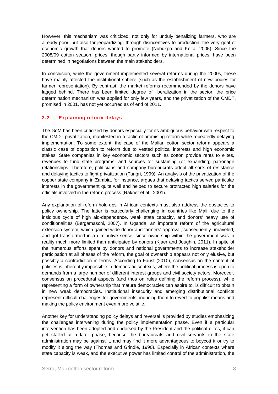However, this mechanism was criticized, not only for unduly penalizing farmers, who are already poor, but also for jeopardizing, through disincentives to production, the very goal of economic growth that donors wanted to promote (Nubukpo and Keita, 2005). Since the 2008/09 cotton season, prices, though partly informed by international prices, have been determined in negotiations between the main stakeholders.

In conclusion, while the government implemented several reforms during the 2000s, these have mainly affected the institutional sphere (such as the establishment of new bodies for farmer representation). By contrast, the market reforms recommended by the donors have lagged behind. There has been limited degree of liberalization in the sector, the price determination mechanism was applied for only few years, and the privatization of the CMDT, promised in 2001, has not yet occurred as of end of 2011.

#### 2.2 Explaining reform delays

The GoM has been criticized by donors especially for its ambiguous behavior with respect to the CMDT privatization, manifested in a tactic of promising reform while repeatedly delaying implementation. To some extent, the case of the Malian cotton sector reform appears a classic case of opposition to reform due to vested political interests and high economic stakes. State companies in key economic sectors such as cotton provide rents to elites, revenues to fund state programs, and sources for sustaining (or expanding) patronage relationships. Therefore, politicians and company bureaucrats adopt all sorts of resistance and delaying tactics to fight privatization (Tangri, 1999). An analysis of the privatization of the copper state company in Zambia, for instance, argues that delaying tactics served particular interests in the government quite well and helped to secure protracted high salaries for the officials involved in the reform process (Rakner et al., 2001).

Any explanation of reform hold-ups in African contexts must also address the obstacles to policy ownership. The latter is particularly challenging in countries like Mali, due to the insidious cycle of high aid-dependence, weak state capacity, and donors' heavy use of conditionalities (Bergamaschi, 2007). In Uganda, an important reform of the agricultural extension system, which gained wide donor and farmers' approval, subsequently unraveled, and got transformed in a diminutive sense, since ownership within the government was in reality much more limited than anticipated by donors (Kjaer and Joughin, 2011). In spite of the numerous efforts spent by donors and national governments to increase stakeholder participation at all phases of the reform, the goal of ownership appears not only elusive, but possibly a contradiction in terms. According to Faust (2010), consensus on the content of policies is inherently impossible in democratic contexts, where the political process is open to demands from a large number of different interest groups and civil society actors. Moreover, consensus on procedural aspects (and thus on rules defining the reform process), while representing a form of ownership that mature democracies can aspire to, is difficult to obtain in new weak democracies. Institutional insecurity and emerging distributional conflicts represent difficult challenges for governments, inducing them to revert to populist means and making the policy environment even more volatile.

Another key for understanding policy delays and reversal is provided by studies emphasizing the challenges intervening during the policy implementation phase. Even if a particular intervention has been adopted and endorsed by the President and the political elites, it can get stalled at a later phase, because the bureaucrats and civil servants in the state administration may be against it, and may find it more advantageous to boycott it or try to modify it along the way (Thomas and Grindle, 1990). Especially in African contexts where state capacity is weak, and the executive power has limited control of the administration, the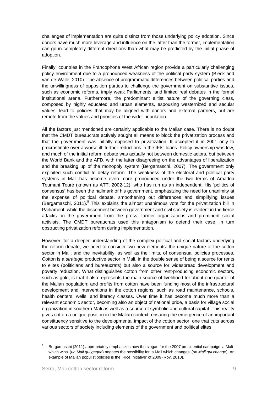challenges of implementation are quite distinct from those underlying policy adoption. Since donors have much more leverage and influence on the latter than the former, implementation can go in completely different directions than what may be predicted by the initial phase of adoption.

Finally, countries in the Francophone West African region provide a particularly challenging policy environment due to a pronounced weakness of the political party system (Bleck and van de Walle, 2010). The absence of programmatic differences between political parties and the unwillingness of opposition parties to challenge the government on substantive issues, such as economic reforms, imply weak Parliaments, and limited real debates in the formal institutional arena. Furthermore, the predominant elitist nature of the governing class, composed by highly educated and urban elements, espousing westernized and secular values, lead to policies that may be aligned with donors and external partners, but are remote from the values and priorities of the wider population.

All the factors just mentioned are certainly applicable to the Malian case. There is no doubt that the CMDT bureaucrats actively sought all means to block the privatization process and that the government was initially opposed to privatization. It accepted it in 2001 only to procrastinate over a worse ill: further reductions in the IFIs' loans. Policy ownership was low, and much of the initial reform debate was actually not between domestic actors, but between the World Bank and the AFD, with the latter disagreeing on the advantages of liberalization and the breaking up of the monopoly system (Bergamaschi, 2007). The government only exploited such conflict to delay reform. The weakness of the electoral and political party systems in Mali has become even more pronounced under the two terms of Amadou Toumani Touré (known as ATT, 2002-12), who has run as an independent. His 'politics of consensus' has been the hallmark of his government, emphasizing the need for unanimity at the expense of political debate, smoothening out differences and simplifying issues (Bergamaschi, 2011). $8$  This explains the almost unanimous vote for the privatization bill in Parliament, while the disconnect between government and civil society is evident in the fierce attacks on the government from the press, farmer organizations and prominent social activists. The CMDT bureaucrats used this antagonism to defend their case, in turn obstructing privatization reform during implementation.

However, for a deeper understanding of the complex political and social factors underlying the reform debate, we need to consider two new elements: the unique nature of the cotton sector in Mali, and the inevitability, as well as the limits, of consensual policies processes. Cotton is a *strategic* productive sector in Mali, in the double sense of being a source for rents to elites (politicians and bureaucrats) but also a source for widespread development and poverty reduction. What distinguishes cotton from other rent-producing economic sectors, such as gold, is that it also represents the main source of livelihood for about one quarter of the Malian population; and profits from cotton have been funding most of the infrastructural development and interventions in the cotton regions, such as road maintenance, schools, health centers, wells, and literacy classes. Over time it has become much more than a relevant economic sector, becoming also an object of national pride, a basis for village social organization in southern Mali as well as a source of symbolic and cultural capital. This reality gives cotton a unique position in the Malian context, ensuring the emergence of an important constituency sensitive to the developmental impact of the cotton sector, one that cuts across various sectors of society including elements of the government and political elites.

 8 Bergamaschi (2011) appropriately emphasizes how the slogan for the 2007 presidential campaign 'a Mali which wins' (*un Mali qui gagne*) negates the possibility for 'a Mali which changes' (*un Mali qui change*). An example of Malian populist policies is the 'Rice Initiative' of 2009 (Roy, 2010).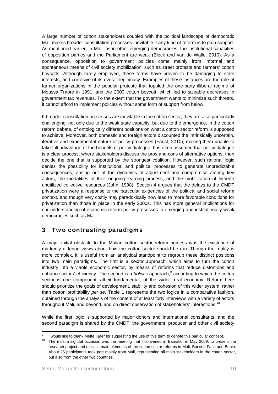A large number of cotton stakeholders coupled with the political landscape of democratic Mali makes broader consultation processes inevitable if any kind of reform is to gain support. As mentioned earlier, in Mali, as in other emerging democracies, the institutional capacities of opposition parties and the Parliament are weak (Bleck and van de Walle, 2010). As a consequence, opposition to government policies come mainly from informal and spontaneous means of civil society mobilization, such as street protests and farmers' cotton boycotts. Although rarely employed, these forms have proven to be damaging to state interests, and corrosive of its overall legitimacy. Examples of these instances are the role of farmer organizations in the popular protests that toppled the one-party illiberal regime of Moussa Traoré in 1991, and the 2000 cotton boycott, which led to sizeable decreases in government tax revenues. To the extent that the government wants to minimize such threats, it cannot afford to implement policies without some form of support from below.

If broader consultation processes are inevitable in the cotton sector, they are also particularly challenging, not only due to the weak state capacity, but due to the emergence, in the cotton reform debate, of ontologically different positions on what a cotton sector reform is supposed to achieve. Moreover, both domestic and foreign actors discounted the intrinsically uncertain, iterative and experimental nature of policy processes (Faust, 2010), making them unable to take full advantage of the benefits of policy dialogue. It is often assumed that policy dialogue is a clear process, where stakeholders discuss the pros and cons of alternative options, then decide the one that is supported by the strongest coalition. However, such rational logic denies the possibility for institutional and political processes to generate unpredictable consequences, arising out of the dynamics of adjustment and compromise among key actors, the modalities of their ongoing learning process, and the mobilization of hitherto unutilized collective resources (John, 1998). Section 4 argues that the delays to the CMDT privatization were a response to the particular exigencies of the political and social reform context, and though very costly may paradoxically now lead to more favorable conditions for privatization than those in place in the early 2000s. This has more general implications for our understanding of economic reform policy processes in emerging and institutionally weak democracies such as Mali.

# 3 Two contrasting paradigms

A major initial obstacle to the Malian cotton sector reform process was the existence of markedly differing views about how the cotton sector should be run. Though the reality is more complex, it is useful from an analytical standpoint to regroup these distinct positions into two main paradigms. The first is a *sector* approach, which aims to turn the cotton industry into a viable economic sector, by means of reforms that reduce distortions and enhance actors' efficiency. The second is a *holistic* approach,<sup>9</sup> according to which the cotton sector is one component, albeit fundamental, of the wider rural economy. Reform here should prioritize the goals of development, stability and cohesion of this wider system, rather than cotton profitability *per se*. Table 1 represents the two logics in a comparative fashion, obtained through the analysis of the content of at least forty interviews with a variety of actors throughout Mali, and beyond, and on direct observation of stakeholders' interactions.<sup>10</sup>

While the first logic is supported by major donors and international consultants, and the second paradigm is shared by the CMDT, the government, producer and other civil society

<sup>9</sup>

<sup>&</sup>lt;sup>9</sup> I would like to thank Mette Kjaer for suggesting the use of this term to denote this particular concept.<br><sup>10</sup> The most insightful occasion was the meeting that I convened in Bamako, in May 2009, to present the research project and discuss main elements of the cotton sector reforms in Mali, Burkina Faso and Benin. About 25 participants took part mainly from Mali, representing all main stakeholders in the cotton sector, but also from the other two countries.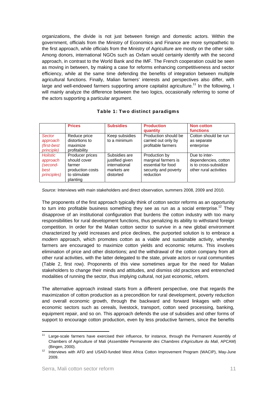organizations, the divide is not just between foreign and domestic actors. Within the government, officials from the Ministry of Economics and Finance are more sympathetic to the first approach, while officials from the Ministry of Agriculture are mostly on the other side. Among donors, international NGOs such as Oxfam would certainly identify with the second approach, in contrast to the World Bank and the IMF. The French cooperation could be seen as moving in between, by making a case for reforms enhancing competitiveness and sector efficiency, while at the same time defending the benefits of integration between multiple agricultural functions. Finally, Malian farmers' interests and perspectives also differ, with large and well-endowed farmers supporting amore capitalist agriculture.<sup>11</sup> In the following, I will mainly analyze the difference between the two logics, occasionally referring to some of the actors supporting a particular argument.

|                                                                        | <b>Prices</b>                                                                             | <b>Subsidies</b>                                                              | <b>Production</b><br>quantity                                                                   | <b>Non cotton</b><br><b>functions</b>                                                    |
|------------------------------------------------------------------------|-------------------------------------------------------------------------------------------|-------------------------------------------------------------------------------|-------------------------------------------------------------------------------------------------|------------------------------------------------------------------------------------------|
| Sector<br>approach<br>(first-best)<br><i>principle</i> )               | Reduce price<br>distortions to<br>maximize<br>profitability                               | Keep subsidies<br>to a minimum                                                | Production should be<br>carried out only by<br>profitable farmers                               | Cotton should be run<br>as separate<br>enterprise                                        |
| <b>Holistic</b><br>approach<br>(second-<br>best<br><i>principles</i> ) | Producer prices<br>should cover<br>farmer<br>production costs<br>to stimulate<br>planting | Subsidies are<br>justified given<br>international<br>markets are<br>distorted | Production by<br>marginal farmers is<br>essential for food<br>security and poverty<br>reduction | Due to inter-<br>dependencies, cotton<br>is to cross-subsidize<br>other rural activities |

#### Table 1: Two distinct paradigms

*Source:* Interviews with main stakeholders and direct observation, summers 2008, 2009 and 2010.

The proponents of the first approach typically think of cotton sector reforms as an opportunity to turn into profitable business something they see as run as a social enterprise.<sup>12</sup> They disapprove of an institutional configuration that burdens the cotton industry with too many responsibilities for rural development functions, thus penalizing its ability to withstand foreign competition. In order for the Malian cotton sector to survive in a new global environment characterized by yield increases and price declines, the purported solution is to embrace a *modern* approach, which promotes cotton as a viable and sustainable activity, whereby farmers are encouraged to maximize cotton yields and economic returns. This involves elimination of price and other distortions; and the withdrawal of the cotton company from all other rural activities, with the latter delegated to the state, private actors or rural communities (Table 2, first row). Proponents of this view sometimes argue for the need for Malian stakeholders to change their minds and attitudes, and dismiss old practices and entrenched modalities of running the sector, thus implying cultural, not just economic, reform.

The alternative approach instead starts from a different perspective, one that regards the maximization of cotton production as a precondition for rural development, poverty reduction and overall economic growth, through the backward and forward linkages with other economic sectors such as cereals, livestock, transport, cotton seed processing, banking, equipment repair, and so on. This approach defends the use of subsidies and other forms of support to encourage cotton production, even by less productive farmers, since the benefits

 <sup>11</sup> Large-scale farmers have exercised their influence, for instance, through the Permanent Assembly of Chambers of Agriculture of Mali (*Assemblée Permanente des Chambres d'Agriculture du Mali*, APCAM)

<sup>(</sup>Bingen, 2000). 12 Interviews with AFD and USAID-funded West Africa Cotton Improvement Program (WACIP), May-June 2009.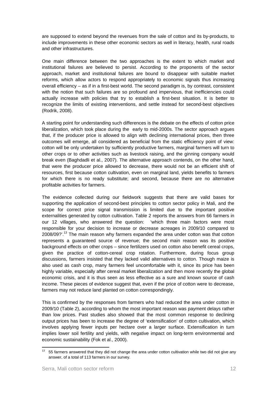are supposed to extend beyond the revenues from the sale of cotton and its by-products, to include improvements in these other economic sectors as well in literacy, health, rural roads and other infrastructures.

One main difference between the two approaches is the extent to which market and institutional failures are believed to persist. According to the proponents of the sector approach, market and institutional failures are bound to disappear with suitable market reforms, which allow actors to respond appropriately to economic signals thus increasing overall efficiency – as if in a first-best world. The second paradigm is, by contrast, consistent with the notion that such failures are so profound and impervious, that inefficiencies could actually increase with policies that try to establish a first-best situation. It is better to recognize the limits of existing interventions, and settle instead for second-best objectives (Rodrik, 2008).

A starting point for understanding such differences is the debate on the effects of cotton price liberalization, which took place during the early to mid-2000s. The sector approach argues that, if the producer price is allowed to align with declining international prices, then three outcomes will emerge, all considered as beneficial from the static efficiency point of view: cotton will be only undertaken by sufficiently productive farmers, marginal farmers will turn to other crops or to other activities such as livestock raising, and the ginning company would break even (Baghdadli et al., 2007). The alternative approach contends, on the other hand, that were the producer price allowed to decrease, there would not be an efficient shift of resources, first because cotton cultivation, even on marginal land, yields benefits to farmers for which there is no ready substitute; and second, because there are no alternative profitable activities for farmers.

The evidence collected during our fieldwork suggests that there are valid bases for supporting the application of second-best principles to cotton sector policy in Mali, and the scope for correct price signal transmission is limited due to the important positive externalities generated by cotton cultivation. Table 2 reports the answers from 66 farmers in our 12 villages, who answered the question: 'which three main factors were most responsible for your decision to increase or decrease acreages in 2009/10 compared to 2008/09?'.<sup>13</sup> The main reason why farmers expanded the area under cotton was that cotton represents a guaranteed source of revenue; the second main reason was its positive background effects on other crops – since fertilizers used on cotton also benefit cereal crops, given the practice of cotton-cereal crop rotation. Furthermore, during focus group discussions, farmers insisted that they lacked valid alternatives to cotton. Though maize is also used as cash crop, many farmers feel uncomfortable with it, since its price has been highly variable, especially after cereal market liberalization and then more recently the global economic crisis, and it is thus seen as less effective as a sure and known source of cash income. These pieces of evidence suggest that, even if the price of cotton were to decrease, farmers may not reduce land planted on cotton correspondingly.

This is confirmed by the responses from farmers who had reduced the area under cotton in 2009/10 (Table 2), according to whom the most important reason was payment delays rather than low prices. Past studies also showed that the most common response to declining output prices has been to increase the degree of 'extensification' of cotton cultivation, which involves applying fewer inputs per hectare over a larger surface. Extensification in turn implies lower soil fertility and yields, with negative impact on long-term environmental and economic sustainability (Fok et al., 2000).

 $13$  55 farmers answered that they did not change the area under cotton cultivation while two did not give any answer, of a total of 113 farmers in our survey.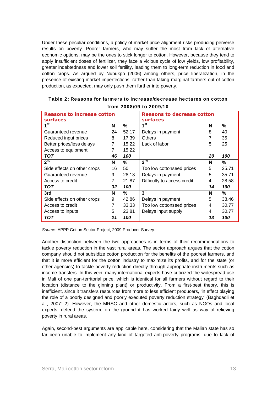Under these peculiar conditions, a policy of market price alignment risks producing perverse results on poverty. Poorer farmers, who may suffer the most from lack of alternative economic options, may be the ones to stick longer to cotton. However, because they tend to apply insufficient doses of fertilizer, they face a vicious cycle of low yields, low profitability, greater indebtedness and lower soil fertility, leading them to long-term reduction in food and cotton crops. As argued by Nubukpo (2006) among others, price liberalization, in the presence of existing market imperfections, rather than taking marginal farmers out of cotton production, as expected, may only push them further into poverty.

| <b>Reasons to increase cotton</b><br>surfaces |    | Reasons to decrease cotton<br>surfaces |                             |    |       |
|-----------------------------------------------|----|----------------------------------------|-----------------------------|----|-------|
| 1 <sup>st</sup>                               |    | $\%$                                   | 1 <sup>st</sup>             | N  | %     |
| Guaranteed revenue                            |    | 52.17                                  | Delays in payment           | 8  | 40    |
| Reduced input prices                          |    | 17.39                                  | <b>Others</b>               |    | 35    |
| Better prices/less delays                     |    | 15.22                                  | Lack of labor               | 5  | 25    |
| Access to equipment                           |    | 15.22                                  |                             |    |       |
| TOT                                           | 46 | 100                                    |                             | 20 | 100   |
| 2 <sup>nd</sup>                               | N  | $\%$                                   | 2 <sup>nd</sup>             | N  | %     |
| Side effects on other crops                   |    | 50                                     | Too low cottonseed prices   | 5  | 35.71 |
| Guaranteed revenue                            |    | 28.13                                  | Delays in payment           | 5  | 35.71 |
| Access to credit                              |    | 21.87                                  | Difficulty to access credit | 4  | 28.58 |
| <b>TOT</b>                                    |    | 100                                    |                             | 14 | 100   |
| 3rd                                           | N  | $\%$                                   | $3^{\text{rd}}$             | N  | %     |
| Side effects on other crops                   | 9  | 42.86                                  | Delays in payment           | 5  | 38.46 |
| Access to credit                              |    | 33.33                                  | Too low cottonseed prices   | 4  | 30.77 |
| Access to inputs                              |    | 23.81                                  | Delays input supply         | 4  | 30.77 |
| TOT                                           | 21 | 100                                    |                             | 13 | 100   |

Table 2: Reasons for farmers to increase/decrease hectares on cotton from 2008/09 to 2009/10

*Source:* APPP Cotton Sector Project, 2009 Producer Survey.

Another distinction between the two approaches is in terms of their recommendations to tackle poverty reduction in the vast rural areas. The sector approach argues that the cotton company should not subsidize cotton production for the benefits of the poorest farmers, and that it is more efficient for the cotton industry to maximize its profits, and for the state (or other agencies) to tackle poverty reduction directly through appropriate instruments such as income transfers. In this vein, many international experts have criticized the widespread use in Mali of one pan-territorial price, which is identical for all farmers without regard to their location (distance to the ginning plant) or productivity. From a first-best theory, this is inefficient, since it transfers resources from more to less efficient producers, 'in effect playing the role of a poorly designed and poorly executed poverty reduction strategy' (Baghdadli et al., 2007: 2). However, the MRSC and other domestic actors, such as NGOs and local experts, defend the system, on the ground it has worked fairly well as way of relieving poverty in rural areas.

Again, second-best arguments are applicable here, considering that the Malian state has so far been unable to implement any kind of targeted anti-poverty programs, due to lack of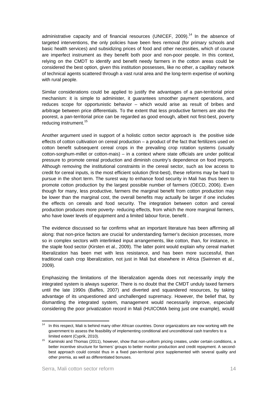administrative capacity and of financial resources (UNICEF, 2009).<sup>14</sup> In the absence of targeted interventions, the only policies have been fees removal (for primary schools and basic health services) and subsidizing prices of food and other necessities, which of course are imperfect instrument as they benefit both poor and non-poor people. In this context, relying on the CMDT to identify and benefit needy farmers in the cotton areas could be considered the best option, given this institution possesses, like no other, a capillary network of technical agents scattered through a vast rural area and the long-term expertise of working with rural people.

Similar considerations could be applied to justify the advantages of a pan-territorial price mechanism: it is simple to administer, it guarantees smoother payment operations, and reduces scope for opportunistic behavior – which would arise as result of bribes and arbitrage between price differentials. To the extent that less productive farmers are also the poorest, a pan-territorial price can be regarded as good enough, albeit not first-best, poverty reducing instrument.<sup>15</sup>

Another argument used in support of a holistic cotton sector approach is the positive side effects of cotton cultivation on cereal production – a product of the fact that fertilizers used on cotton benefit subsequent cereal crops in the prevailing crop rotation systems (usually cotton-sorghum-millet or cotton-mais) – in a context where state officials are under political pressure to promote cereal production and diminish country's dependence on food imports. Although removing the institutional constraints in the cereal sector, such as low access to credit for cereal inputs, is the most efficient solution (first-best), these reforms may be hard to pursue in the short term. The surest way to enhance food security in Mali has thus been to promote cotton production by the largest possible number of farmers (OECD, 2006). Even though for many, less productive, farmers the marginal benefit from cotton production may be lower than the marginal cost, the overall benefits may actually be larger if one includes the effects on cereals and food security. The integration between cotton and cereal production produces more poverty- reducing effects, from which the more marginal farmers, who have lower levels of equipment and a limited labour force, benefit .

The evidence discussed so far confirms what an important literature has been affirming all along: that non-price factors are crucial for understanding farmer's decision processes, more so in complex sectors with interlinked input arrangements, like cotton, than, for instance, in the staple food sector (Kirsten et al., 2009). The latter point would explain why cereal market liberalization has been met with less resistance, and has been more successful, than traditional cash crop liberalization, not just in Mali but elsewhere in Africa (Swinnen et al., 2009).

Emphasizing the limitations of the liberalization agenda does not necessarily imply the integrated system is always superior. There is no doubt that the CMDT unduly taxed farmers until the late 1990s (Baffes, 2007) and diverted and squandered resources, by taking advantage of its unquestioned and unchallenged supremacy. However, the belief that, by dismantling the integrated system, management would necessarily improve, especially considering the poor privatization record in Mali (HUICOMA being just one example), would

 $14$  In this respect. Mali is behind many other African countries. Donor organizations are now working with the government to assess the feasibility of implementing conditional and unconditional cash transfers to a

limited extent (Cyprik, 2010).<br><sup>15</sup> Kaminski and Thomas (2011), however, show that non-uniform pricing creates, under certain conditions, a better incentive structure for farmers' groups to better monitor production and credit repayment. A secondbest approach could consist thus in a fixed pan-territorial price supplemented with several quality and other premia, as well as differentiated bonuses.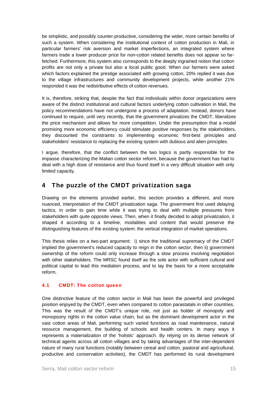be simplistic, and possibly counter-productive, considering the wider, more certain benefits of such a system. When considering the institutional context of cotton production in Mali, in particular farmers' risk aversion and market imperfections, an integrated system where farmers trade a lower producer price for non-cotton related benefits does not appear so farfetched. Furthermore, this system also corresponds to the deeply ingrained notion that cotton profits are not only a private but also a local public good. When our farmers were asked which factors explained the prestige associated with growing cotton, 20% replied it was due to the village infrastructures and community development projects, while another 21% responded it was the redistributive effects of cotton revenues.

It is, therefore, striking that, despite the fact that individuals within donor organizations were aware of the distinct institutional and cultural factors underlying cotton cultivation in Mali, the policy recommendations have not undergone a process of adaptation. Instead, donors have continued to require, until very recently, that the government privatizes the CMDT, liberalizes the price mechanism and allows for more competition. Under the presumption that a model promising more economic efficiency could stimulate positive responses by the stakeholders, they discounted the constraints to implementing economic first-best principles and stakeholders' resistance to replacing the existing system with dubious and alien principles.

I argue, therefore, that the conflict between the two logics is partly responsible for the impasse characterizing the Malian cotton sector reform, because the government has had to deal with a high dose of resistance and thus found itself in a very difficult situation with only limited capacity.

# 4 The puzzle of the CMDT privatization saga

Drawing on the elements provided earlier, this section provides a different, and more nuanced, interpretation of the CMDT privatization saga. The government first used delaying tactics, in order to gain time while it was trying to deal with multiple pressures from stakeholders with quite opposite views. Then, when it finally decided to adopt privatization, it shaped it according to a timeline, modalities and content that would preserve the distinguishing features of the existing system: the vertical integration of market operations.

This thesis relies on a two-part argument: i) since the traditional supremacy of the CMDT implied the government's reduced capacity to reign in the cotton sector, then ii) government ownership of the reform could only increase through a slow process involving negotiation with other stakeholders. The MRSC found itself as the sole actor with sufficient cultural and political capital to lead this mediation process, and to lay the basis for a more acceptable reform.

#### 4.1 CMDT: The cotton queen

One distinctive feature of the cotton sector in Mali has been the powerful and privileged position enjoyed by the CMDT, even when compared to cotton parastatals in other countries. This was the result of the CMDT's unique role, not just as holder of monopoly and monopsony rights in the cotton value chain, but as the dominant development actor in the vast cotton areas of Mali, performing such varied functions as road maintenance, natural resource management, the building of schools and health centers. In many ways it represents a materialization of the 'holistic' approach. By relying on its dense network of technical agents across all cotton villages and by taking advantages of the inter-dependent nature of many rural functions (notably between cereal and cotton, pastoral and agricultural, productive and conservation activities), the CMDT has performed its rural development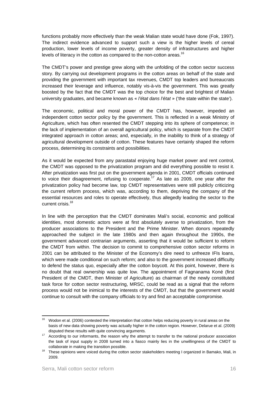functions probably more effectively than the weak Malian state would have done (Fok, 1997). The indirect evidence advanced to support such a view is the higher levels of cereal production, lower levels of income poverty, greater density of infrastructures and higher levels of literacy in the cotton as compared to the non-cotton areas.<sup>16</sup>

The CMDT's power and prestige grew along with the unfolding of the cotton sector success story. By carrying out development programs in the cotton areas on behalf of the state and providing the government with important tax revenues, CMDT top leaders and bureaucrats increased their leverage and influence, notably vis-à-vis the government. This was greatly boosted by the fact that the CMDT was the top choice for the best and brightest of Malian university graduates, and became known as « *l'état dans l'état* » ('the state within the state').

The economic, political and moral power of the CMDT has, however, impeded an independent cotton sector policy by the government. This is reflected in a weak Ministry of Agriculture, which has often resented the CMDT stepping into its sphere of competence; in the lack of implementation of an overall agricultural policy, which is separate from the CMDT integrated approach in cotton areas; and, especially, in the inability to think of a strategy of agricultural development outside of cotton. These features have certainly shaped the reform process, determining its constraints and possibilities.

As it would be expected from any parastatal enjoying huge market power and rent control, the CMDT was opposed to the privatization program and did everything possible to resist it. After privatization was first put on the government agenda in 2001, CMDT officials continued to voice their disagreement, refusing to cooperate.<sup>17</sup> As late as 2009, one year after the privatization policy had become law, top CMDT representatives were still publicly criticizing the current reform process, which was, according to them, depriving the company of the essential resources and roles to operate effectively, thus allegedly leading the sector to the current crisis.18

In line with the perception that the CMDT dominates Mali's social, economic and political identities, most domestic actors were at first absolutely averse to privatization, from the producer associations to the President and the Prime Minister. When donors repeatedly approached the subject in the late 1980s and then again throughout the 1990s, the government advanced contrarian arguments, asserting that it would be sufficient to reform the CMDT from within. The decision to commit to comprehensive cotton sector reforms in 2001 can be attributed to the Minister of the Economy's dire need to unfreeze IFIs loans, which were made conditional on such reform; and also to the government increased difficulty to defend the status quo, especially after the cotton boycott. At this point, however, there is no doubt that real ownership was quite low. The appointment of Fagnanama Koné (first President of the CMDT, then Minister of Agriculture) as chairman of the newly constituted task force for cotton sector restructuring, MRSC, could be read as a signal that the reform process would not be inimical to the interests of the CMDT, but that the government would continue to consult with the company officials to try and find an acceptable compromise.

 Wodon et al. (2006) contested the interpretation that cotton helps reducing poverty in rural areas on the basis of new data showing poverty was actually higher in the cotton region. However, Delarue et al. (2009)

disputed these results with quite convincing arguments.<br><sup>17</sup> According to our informants, the reason why the attempt to transfer to the national producer association the task of input supply in 2008 turned into a fiasco mainly lies in the unwillingness of the CMDT to collaborate in making the transition possible.<br>18 These opinions were voiced during the cotton sector stakeholders meeting I organized in Bamako, Mali, in

<sup>2009.</sup>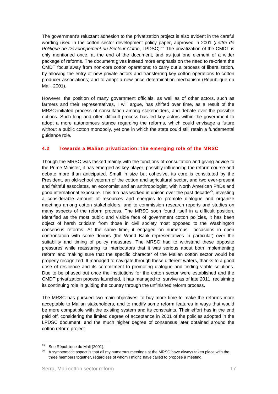The government's reluctant adhesion to the privatization project is also evident in the careful wording used in the cotton sector development policy paper, approved in 2001 (*Lettre de*  Politique de Développement du Secteur Coton, LPDSC).<sup>19</sup> The privatization of the CMDT is only mentioned once, at the end of the document, and as just one element of a wider package of reforms. The document gives instead more emphasis on the need to re-orient the CMDT focus away from non-core cotton operations; to carry out a process of liberalization, by allowing the entry of new private actors and transferring key cotton operations to cotton producer associations; and to adopt a new price determination mechanism (République du Mali, 2001).

However, the position of many government officials, as well as of other actors, such as farmers and their representatives, I will argue, has shifted over time, as a result of the MRSC-initiated process of consultation among stakeholders, and debate over the possible options. Such long and often difficult process has led key actors within the government to adopt a more autonomous stance regarding the reforms, which could envisage a future without a public cotton monopoly, yet one in which the state could still retain a fundamental guidance role.

#### 4.2 Towards a Malian privatization: the emerging role of the MRSC

Though the MRSC was tasked mainly with the functions of consultation and giving advice to the Prime Minister, it has emerged as key player, possibly influencing the reform course and debate more than anticipated. Small in size but cohesive, its core is constituted by the President, an old-school veteran of the cotton and agricultural sector, and two ever-present and faithful associates, an economist and an anthropologist, with North American PhDs and good international exposure. This trio has worked in unison over the past decade<sup>20</sup>, investing a considerable amount of resources and energies to promote dialogue and organize meetings among cotton stakeholders, and to commission research reports and studies on many aspects of the reform process. The MRSC soon found itself in a difficult position. Identified as the most public and visible face of government cotton policies, it has been object of harsh criticism from those in civil society most opposed to the Washington consensus reforms. At the same time, it engaged on numerous occasions in open confrontation with some donors (the World Bank representatives in particular) over the suitability and timing of policy measures. The MRSC had to withstand these opposite pressures while reassuring its interlocutors that it was serious about both implementing reform and making sure that the specific character of the Malian cotton sector would be properly recognized. It managed to navigate through these different waters, thanks to a good dose of resilience and its commitment to promoting dialogue and finding viable solutions. Due to be phased out once the institutions for the cotton sector were established and the CMDT privatization process launched, it has managed to survive as of late 2011, reclaiming its continuing role in guiding the country through the unfinished reform process.

The MRSC has pursued two main objectives: to buy more time to make the reforms more acceptable to Malian stakeholders, and to modify some reform features in ways that would be more compatible with the existing system and its constraints. Their effort has in the end paid off, considering the limited degree of acceptance in 2001 of the policies adopted in the LPDSC document, and the much higher degree of consensus later obtained around the cotton reform project.

 <sup>19</sup> See République du Mali (2001).<br><sup>20</sup> A cumptemetie concet is that all

A symptomatic aspect is that all my numerous meetings at the MRSC have always taken place with the three members together, regardless of whom I might have called to propose a meeting.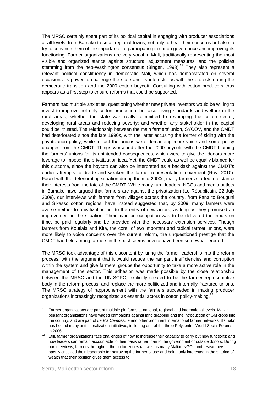The MRSC certainly spent part of its political capital in engaging with producer associations at all levels, from Bamako to small regional towns, not only to hear their concerns but also to try to convince them of the importance of participating in cotton governance and improving its functioning. Farmer organizations are very vocal in Mali, traditionally representing the most visible and organized stance against structural adjustment measures, and the policies stemming from the neo-Washington consensus (Bingen,  $1998$ ).<sup>21</sup> They also represent a relevant political constituency in democratic Mali, which has demonstrated on several occasions its power to challenge the state and its interests, as with the protests during the democratic transition and the 2000 cotton boycott. Consulting with cotton producers thus appears as a first step to ensure reforms that could be supported.

Farmers had multiple anxieties, questioning whether new private investors would be willing to invest to improve not only cotton production, but also living standards and welfare in the rural areas; whether the state was really committed to revamping the cotton sector, developing rural areas and reducing poverty; and whether any stakeholder in the capital could be trusted. The relationship between the main farmers' union, SYCOV, and the CMDT had deteriorated since the late 1990s, with the latter accusing the former of siding with the privatization policy, while in fact the unions were demanding more voice and some policy changes from the CMDT. Things worsened after the 2000 boycott, with the CMDT blaming the farmers' unions for its unintended consequences, which were to give the donors more leverage to impose the privatization idea. Yet, the CMDT could as well be equally blamed for this outcome, since the boycott can also be interpreted as a backlash against the CMDT's earlier attempts to divide and weaken the farmer representation movement (Roy, 2010). Faced with the deteriorating situation during the mid-2000s, many farmers started to distance their interests from the fate of the CMDT. While many rural leaders, NGOs and media outlets in Bamako have argued that farmers are against the privatization (Le Républicain, 22 July 2008), our interviews with farmers from villages across the country, from Fana to Bouguni and Sikasso cotton regions, have instead suggested that, by 2009, many farmers were averse neither to privatization nor to the entry of new actors, as long as they promised an improvement in the situation. Their main preoccupation was to be delivered the inputs on time, be paid regularly and be provided with the necessary extension services. Though farmers from Koutiala and Kita, the core of two important and radical farmer unions, were more likely to voice concerns over the current reform, the unquestioned prestige that the CMDT had held among farmers in the past seems now to have been somewhat eroded.

The MRSC took advantage of this discontent by luring the farmer leadership into the reform process, with the argument that it would reduce the rampant inefficiencies and corruption within the system and give farmers' groups the opportunity to take a more active role in the management of the sector. This adhesion was made possible by the close relationship between the MRSC and the UN-SCPC, explicitly created to be the farmer representative body in the reform process, and replace the more politicized and internally fractured unions. The MRSC strategy of rapprochement with the farmers succeeded in making producer organizations increasingly recognized as essential actors in cotton policy-making.<sup>22</sup>

<sup>&</sup>lt;sup>21</sup> Farmer organizations are part of multiple platforms at national, regional and international levels. Malian peasant organizations have waged campaigns against land grabbing and the introduction of GM crops into the country; and are part of *La Via Campesina* and other prominent international farmer networks. Bamako has hosted many anti-liberalization initiatives, including one of the three Polycentric World Social Forums

in 2006.<br><sup>22</sup> Still, farmer organizations face challenges of how to increase their capacity to carry out new functions; and how leaders can remain accountable to their basis rather than to the government or outside donors. During our interviews, farmers throughout the cotton zones (as well as many Malian NGOs and researchers) openly criticized their leadership for betraying the farmer cause and being only interested in the sharing of wealth that their position gives them access to.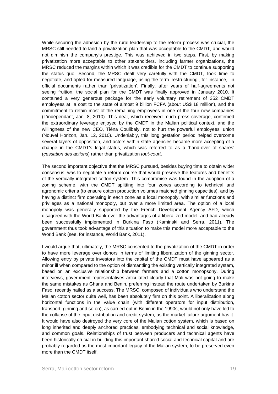While securing the adhesion by the rural leadership to the reform process was crucial, the MRSC still needed to land a privatization plan that was acceptable to the CMDT, and would not diminish the company's prestige. This was achieved in two steps. First, by making privatization more acceptable to other stakeholders, including farmer organizations, the MRSC reduced the margins within which it was credible for the CMDT to continue supporting the status quo. Second, the MRSC dealt very carefully with the CMDT, took time to negotiate, and opted for measured language, using the term 'restructuring', for instance, in official documents rather than 'privatization'. Finally, after years of half-agreements not seeing fruition, the social plan for the CMDT was finally approved in January 2010. It contained a very generous package for the early voluntary retirement of 352 CMDT employees at a cost to the state of almost 9 billion FCFA (about US\$ 18 million), and the commitment to retain most of the remaining employees in one of the four new companies (L'indépendant, Jan. 8, 2010). This deal, which received much press coverage, confirmed the extraordinary leverage enjoyed by the CMDT in the Malian political context, and the willingness of the new CEO, Tiéna Coulibaly, not to hurt the powerful employees' union (Nouvel Horizon, Jan. 12, 2010). Undeniably, this long gestation period helped overcome several layers of opposition, and actors within state agencies became more accepting of a change in the CMDT's legal status, which was referred to as a 'hand-over of shares' (*cessation des actions*) rather than privatization *tout-court*.

The second important objective that the MRSC pursued, besides buying time to obtain wider consensus, was to negotiate a reform course that would preserve the features and benefits of the vertically integrated cotton system. This compromise was found in the adoption of a zoning scheme, with the CMDT splitting into four zones according to technical and agronomic criteria (to ensure cotton production volumes matched ginning capacities), and by having a distinct firm operating in each zone as a local monopoly, with similar functions and privileges as a national monopoly, but over a more limited area. The option of a local monopoly was generally supported by the French Development Agency AFD, which disagreed with the World Bank over the advantages of a liberalized model, and had already been successfully implemented in Burkina Faso (Kaminski and Serra, 2011). The government thus took advantage of this situation to make this model more acceptable to the World Bank (see, for instance, World Bank, 2011).

I would argue that, ultimately, the MRSC consented to the privatization of the CMDT in order to have more leverage over donors in terms of limiting liberalization of the ginning sector. Allowing entry by private investors into the capital of the CMDT must have appeared as a minor ill when compared to the option of dismantling the existing vertically integrated system, based on an exclusive relationship between farmers and a cotton monopsony. During interviews, government representatives articulated clearly that Mali was not going to make the same mistakes as Ghana and Benin, preferring instead the route undertaken by Burkina Faso, recently hailed as a success. The MRSC, composed of individuals who understand the Malian cotton sector quite well, has been absolutely firm on this point. A liberalization along horizontal functions in the value chain (with different operators for input distribution, transport, ginning and so on), as carried out in Benin in the 1990s, would not only have led to the collapse of the input distribution and credit system, as the market failure argument has it. It would have also destroyed the very core of the Malian cotton system, which is based on long inherited and deeply anchored practices, embodying technical and social knowledge, and common goals. Relationships of trust between producers and technical agents have been historically crucial in building this important shared social and technical capital and are probably regarded as the most important legacy of the Malian system, to be preserved even more than the CMDT itself.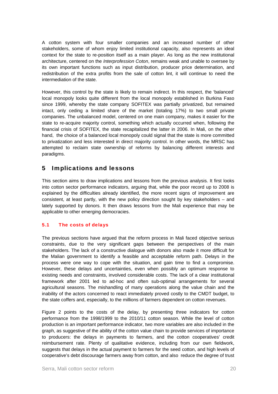A cotton system with four smaller companies and an increased number of other stakeholders, some of whom enjoy limited institutional capacity, also represents an ideal context for the state to re-position itself as a main player. As long as the new institutional architecture, centered on the *Interprofession Coton*, remains weak and unable to oversee by its own important functions such as input distribution, producer price determination, and redistribution of the extra profits from the sale of cotton lint, it will continue to need the intermediation of the state.

However, this control by the state is likely to remain indirect. In this respect, the 'balanced' local monopoly looks quite different from the local monopoly established in Burkina Faso since 1999, whereby the state company SOFITEX was partially privatized, but remained intact, only ceding a limited share of the market (totaling 17%) to two small private companies. The unbalanced model, centered on one main company, makes it easier for the state to re-acquire majority control, something which actually occurred when, following the financial crisis of SOFITEX, the state recapitalized the latter in 2006. In Mali, on the other hand, the choice of a balanced local monopoly could signal that the state is more committed to privatization and less interested in direct majority control. In other words, the MRSC has attempted to reclaim state ownership of reforms by balancing different interests and paradigms.

# 5 Implications and lessons

This section aims to draw implications and lessons from the previous analysis. It first looks into cotton sector performance indicators, arguing that, while the poor record up to 2008 is explained by the difficulties already identified, the more recent signs of improvement are consistent, at least partly, with the new policy direction sought by key stakeholders – and lately supported by donors. It then draws lessons from the Mali experience that may be applicable to other emerging democracies.

#### 5.1 The costs of delays

The previous sections have argued that the reform process in Mali faced objective serious constraints, due to the very significant gaps between the perspectives of the main stakeholders. The lack of a constructive dialogue with donors also made it more difficult for the Malian government to identify a feasible and acceptable reform path. Delays in the process were one way to cope with the situation, and gain time to find a compromise. However, these delays and uncertainties, even when possibly an optimum response to existing needs and constraints, involved considerable costs. The lack of a clear institutional framework after 2001 led to ad-hoc and often sub-optimal arrangements for several agricultural seasons. The mishandling of many operations along the value chain and the inability of the actors concerned to react immediately proved costly to the CMDT budget, to the state coffers and, especially, to the millions of farmers dependent on cotton revenues.

Figure 2 points to the costs of the delay, by presenting three indicators for cotton performance from the 1998/1999 to the 2010/11 cotton season. While the level of cotton production is an important performance indicator, two more variables are also included in the graph, as suggestive of the ability of the cotton value chain to provide services of importance to producers: the delays in payments to farmers, and the cotton cooperatives' credit reimbursement rate. Plenty of qualitative evidence, including from our own fieldwork, suggests that delays in the actual payment to farmers for the seed cotton, and high levels of cooperative's debt discourage farmers away from cotton, and also reduce the degree of trust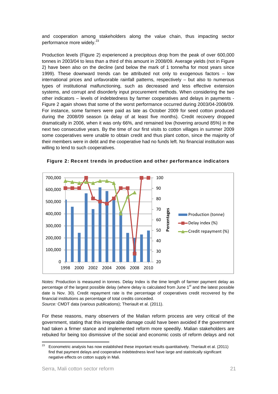and cooperation among stakeholders along the value chain, thus impacting sector performance more widely.<sup>23</sup>

Production levels (Figure 2) experienced a precipitous drop from the peak of over 600,000 tonnes in 2003/04 to less than a third of this amount in 2008/09. Average yields (not in Figure 2) have been also on the decline (and below the mark of 1 tonne/ha for most years since 1999). These downward trends can be attributed not only to exogenous factors – low international prices and unfavorable rainfall patterns, respectively – but also to numerous types of institutional malfunctioning, such as decreased and less effective extension systems, and corrupt and disorderly input procurement methods. When considering the two other indicators – levels of indebtedness by farmer cooperatives and delays in payments - Figure 2 again shows that some of the worst performance occurred during 2003/04-2008/09. For instance, some farmers were paid as late as October 2009 for seed cotton produced during the 2008/09 season (a delay of at least five months). Credit recovery dropped dramatically in 2006, when it was only 66%, and remained low (hovering around 85%) in the next two consecutive years. By the time of our first visits to cotton villages in summer 2009 some cooperatives were unable to obtain credit and thus plant cotton, since the majority of their members were in debt and the cooperative had no funds left. No financial institution was willing to lend to such cooperatives.



Figure 2: Recent trends in production and other performance indicators

*Notes:* Production is measured in tonnes. Delay Index is the time length of farmer payment delay as percentage of the largest possible delay (where delay is calculated from June  $1<sup>st</sup>$  and the latest possible date is Nov. 30). Credit repayment rate is the percentage of cooperatives credit recovered by the financial institutions as percentage of total credits conceded.

*Source:* CMDT data (various publications); Theriault et al. (2011).

For these reasons, many observers of the Malian reform process are very critical of the government, stating that this irreparable damage could have been avoided if the government had taken a firmer stance and implemented reform more speedily. Malian stakeholders are rebuked for being too dismissive of the social and economic costs of reform delays and not

 <sup>23</sup> Econometric analysis has now established these important results quantitatively. Theriault et al. (2011) find that payment delays and cooperative indebtedness level have large and statistically significant negative effects on cotton supply in Mali.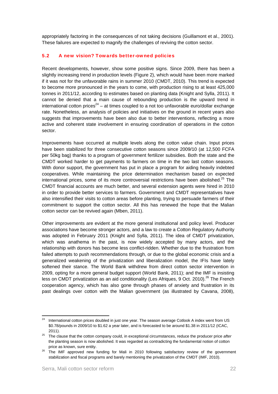appropriately factoring in the consequences of not taking decisions (Guillamont et al., 2001). These failures are expected to magnify the challenges of reviving the cotton sector.

#### 5.2 A new vision? Towards better-owned policies

Recent developments, however, show some positive signs. Since 2009, there has been a slightly increasing trend in production levels (Figure 2), which would have been more marked if it was not for the unfavorable rains in summer 2010 (CMDT, 2010). This trend is expected to become more pronounced in the years to come, with production rising to at least 425,000 tonnes in 2011/12, according to estimates based on planting data (Knight and Sylla, 2011). It cannot be denied that a main cause of rebounding production is the upward trend in international cotton prices<sup>24</sup> – at times coupled to a not too unfavorable euro/dollar exchange rate. Nonetheless, an analysis of policies and initiatives on the ground in recent years also suggests that improvements have been also due to better interventions, reflecting a more active and coherent state involvement in ensuring coordination of operations in the cotton sector.

Improvements have occurred at multiple levels along the cotton value chain. Input prices have been stabilized for three consecutive cotton seasons since 2009/10 (at 12,500 FCFA per 50kg bag) thanks to a program of government fertilizer subsidies. Both the state and the CMDT worked harder to get payments to farmers on time in the two last cotton seasons. With donor support, the government has put in place a program for aiding heavily indebted cooperatives. While maintaining the price determination mechanism based on expected international prices, some of its more controversial restrictions have been abolished.<sup>25</sup> The CMDT financial accounts are much better, and several extension agents were hired in 2010 in order to provide better services to farmers. Government and CMDT representatives have also intensified their visits to cotton areas before planting, trying to persuade farmers of their commitment to support the cotton sector. All this has renewed the hope that the Malian cotton sector can be revived again (Mben, 2011).

Other improvements are evident at the more general institutional and policy level. Producer associations have become stronger actors, and a law to create a Cotton Regulatory Authority was adopted in February 2011 (Knight and Sylla, 2011). The idea of CMDT privatization, which was anathema in the past, is now widely accepted by many actors, and the relationship with donors has become less conflict-ridden. Whether due to the frustration from failed attempts to push recommendations through, or due to the global economic crisis and a generalized weakening of the privatization and liberalization model, the IFIs have lately softened their stance. The World Bank withdrew from direct cotton sector intervention in 2009, opting for a more general budget support (World Bank, 2011); and the IMF is insisting less on CMDT privatization as an aid conditionality (Les Afriques, 9 Oct. 2010).<sup>26</sup> The French cooperation agency, which has also gone through phases of anxiety and frustration in its past dealings over cotton with the Malian government (as illustrated by Cavana, 2008),

 <sup>24</sup> International cotton prices doubled in just one year. The season average Cotlook A index went from US \$0.78/pounds in 2009/10 to \$1.62 a year later, and is forecasted to be around \$1.38 in 2011/12 (ICAC,

<sup>2011). 25</sup> The clause that the cotton company could, in exceptional circumstances, reduce the producer price *after*  the planting season is now abolished. It was regarded as contradicting the fundamental notion of cotton price as known, sure entity.<br><sup>26</sup> The IMF approved new funding for Mali in 2010 following satisfactory review of the government

stabilization and fiscal programs and barely mentioning the privatization of the CMDT (IMF, 2010).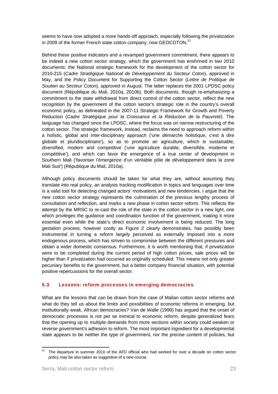seems to have now adopted a more hands-off approach, especially following the privatization in 2009 of the former French state cotton company, now GEOCOTON.<sup>27</sup>

Behind these positive indicators and a revamped government commitment, there appears to be indeed a new cotton sector strategy, which the government has enshrined in two 2010 documents: the National strategic framework for the development of the cotton sector for 2010-215 (*Cadre Stratégique National de Développement du Secteur Coton*), approved in May, and the Policy Document for Supporting the Cotton Sector (*Lettre de Politique de Soutien au Secteur Coton*), approved in August. The latter replaces the 2001 LPDSC policy document (République du Mali, 2010a, 2010b). Both documents, though re-emphasizing a commitment to the state withdrawal from direct control of the cotton sector, reflect the new recognition by the government of the cotton sector's strategic role in the country's overall economic policy, as delineated in the 2007-11 Strategic Framework for Growth and Poverty Reduction (*Cadre Stratégique pour la Croissance et la Réduction de la Pauvreté*). The language has changed since the LPDSC, where the focus was on narrow restructuring of the cotton sector. The strategic framework, instead, reclaims the need to approach reform within a holistic, global and inter-disciplinary approach ('une démarche holistique, c'est à dire globale et pluridisciplinaire'), so as to promote an agriculture, which is sustainable, diversified, modern and competitive ('une agriculture durable, diversifiée, moderne et compétitive'), and which can favor the emergence of a true center of development in Southern Mali ('favoriser l'émergence d'un véritable pôle de développement dans la zone Mali Sud') (République du Mali, 2010a).

Although policy documents should be taken for what they are, without assuming they translate into real policy, an analysis tracking modification in topics and languages over time is a valid tool for detecting changed actors' motivations and new tendencies. I argue that the new cotton sector strategy represents the culmination of the previous lengthy process of consultation and reflection, and marks a new phase in cotton sector reform. This reflects the attempt by the MRSC to re-cast the role of the state in the cotton sector in a new light, one which privileges the guidance and coordination function of the government, making it more essential even while the state's direct economic involvement is being reduced. The long gestation process, however costly as Figure 2 clearly demonstrates, has possibly been instrumental in turning a reform largely perceived as externally imposed into a more endogenous process, which has striven to compromise between the different pressures and obtain a wider domestic consensus. Furthermore, it is worth mentioning that, if privatization were to be completed during the current period of high cotton prices, sale prices will be higher than if privatization had occurred as originally scheduled. This means not only greater pecuniary benefits to the government, but a better company financial situation, with potential positive repercussions for the overall sector.

#### 5.3 Lessons: reform processes in emerging democracies

What are the lessons that can be drawn from the case of Malian cotton sector reforms and what do they tell us about the limits and possibilities of economic reforms in emerging, but institutionally weak, African democracies? Van de Walle (1999) has argued that the onset of democratic processes is not per se inimical to economic reform, despite generalized fears that the opening up to multiple demands from more sections within society could weaken or reverse government's adhesion to reform. The most important ingredient for a developmental state appears to be neither the type of government, nor the precise content of policies, but

 $27$  The departure in summer 2010 of the AFD official who had worked for over a decade on cotton sector policy may be also taken as suggestive of a new course.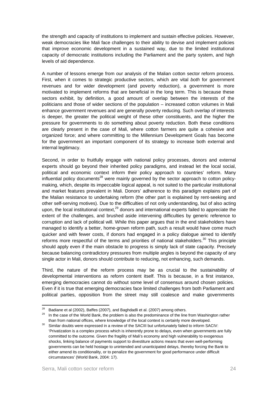the strength and capacity of institutions to implement and sustain effective policies. However, weak democracies like Mali face challenges to their ability to devise and implement policies that improve economic development in a sustained way, due to the limited institutional capacity of democratic institutions including the Parliament and the party system, and high levels of aid dependence.

A number of lessons emerge from our analysis of the Malian cotton sector reform process. First, when it comes to strategic productive sectors, which are vital *both* for government revenues and for wider development (and poverty reduction), a government is more motivated to implement reforms that are beneficial in the long term. This is because these sectors exhibit, by definition, a good amount of overlap between the interests of the politicians and those of wider sections of the population – increased cotton volumes in Mali enhance government revenues and are generally poverty reducing. Such overlap of interests is deeper, the greater the political weight of these other constituents, and the higher the pressure for governments to do something about poverty reduction. Both these conditions are clearly present in the case of Mali, where cotton farmers are quite a cohesive and organized force; and where committing to the Millennium Development Goals has become for the government an important component of its strategy to increase both external and internal legitimacy.

Second, in order to fruitfully engage with national policy processes, donors and external experts should go beyond their inherited policy paradigms, and instead let the local social, political and economic context inform their policy approach to countries' reform. Many influential policy documents<sup>28</sup> were mainly governed by the sector approach to cotton policymaking, which, despite its impeccable logical appeal, is not suited to the particular institutional and market features prevalent in Mali. Donors' adherence to this paradigm explains part of the Malian resistance to undertaking reform (the other part is explained by rent-seeking and other self-serving motives). Due to the difficulties of not only understanding, but of also acting upon, the local institutional context, $^{29}$  donors and international experts failed to appreciate the extent of the challenges, and brushed aside intervening difficulties by generic reference to corruption and lack of political will. While this paper argues that in the end stakeholders have managed to identify a better, home-grown reform path, such a result would have come much quicker and with fewer costs, if donors had engaged in a policy dialogue aimed to identify reforms more respectful of the terms and priorities of national stakeholders.<sup>30</sup> This principle should apply even if the main obstacle to progress is simply lack of state capacity. Precisely because balancing contradictory pressures from multiple angles is beyond the capacity of any single actor in Mali, donors should contribute to reducing, not enhancing, such demands.

Third, the nature of the reform process may be as crucial to the sustainability of developmental interventions as reform content itself. This is because, in a first instance, emerging democracies cannot do without some level of consensus around chosen policies. Even if it is true that emerging democracies face limited challenges from both Parliament and political parties, opposition from the street may still coalesce and make governments

<sup>&</sup>lt;sup>28</sup> Badiane et al (2002), Baffes (2007), and Baghdadli et al. (2007) among others.<br><sup>29</sup> In the case of the World Bank, the problem is also the predominance of the line from Washington rather than from national offices, where knowledge of the local context is certainly more developed.<br><sup>30</sup> Similar doubts were expressed in a review of the SACIII but unfortunately failed to inform SACIV:

<sup>&#</sup>x27;Privatization is a complex process which is inherently prone to delays, even when governments are fully committed to the outcome. Given the fragility of Mali's economy and high vulnerability to exogenous shocks, linking balance of payments support to divestiture actions means that even well-performing governments can be held hostage to unintended and unanticipated delays, thereby forcing the Bank to either amend its conditionality, or to penalize the government for good performance under difficult circumstances' (World Bank, 2004: 17).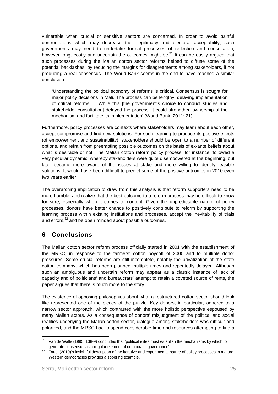vulnerable when crucial or sensitive sectors are concerned. In order to avoid painful confrontations which may decrease their legitimacy and electoral acceptability, such governments may need to undertake formal processes of reflection and consultation, however long, costly and uncertain the outcomes might be.<sup>31</sup> It can be easily argued that such processes during the Malian cotton sector reforms helped to diffuse some of the potential backlashes, by reducing the margins for disagreements among stakeholders, if not producing a real consensus. The World Bank seems in the end to have reached a similar conclusion:

'Understanding the political economy of reforms is critical. Consensus is sought for major policy decisions in Mali. The process can be lengthy, delaying implementation of critical reforms … While this [the government's choice to conduct studies and stakeholder consultation] delayed the process, it could strengthen ownership of the mechanism and facilitate its implementation' (World Bank, 2011: 21).

Furthermore, policy processes are contexts where stakeholders may learn about each other, accept compromise and find new solutions. For such learning to produce its positive effects (of empowerment and sustainability), stakeholders should be open to a number of different options, and refrain from preempting possible outcomes on the basis of ex-ante beliefs about what is desirable or not. The Malian cotton reform policy process, for instance, followed a very peculiar dynamic, whereby stakeholders were quite disempowered at the beginning, but later became more aware of the issues at stake and more willing to identify feasible solutions. It would have been difficult to predict some of the positive outcomes in 2010 even two years earlier.

The overarching implication to draw from this analysis is that reform supporters need to be more humble, and realize that the best outcome to a reform process may be difficult to know for sure, especially when it comes to content. Given the unpredictable nature of policy processes, donors have better chance to positively contribute to reform by supporting the learning process within existing institutions and processes, accept the inevitability of trials and errors.<sup>32</sup> and be open minded about possible outcomes.

# 6 Conclusions

The Malian cotton sector reform process officially started in 2001 with the establishment of the MRSC, in response to the farmers' cotton boycott of 2000 and to multiple donor pressures. Some crucial reforms are still incomplete, notably the privatization of the state cotton company, which has been planned multiple times and repeatedly delayed. Although such an ambiguous and uncertain reform may appear as a classic instance of lack of capacity and of politicians' and bureaucrats' attempt to retain a coveted source of rents, the paper argues that there is much more to the story.

The existence of opposing philosophies about what a restructured cotton sector should look like represented one of the pieces of the puzzle. Key donors, in particular, adhered to a narrow sector approach, which contrasted with the more holistic perspective espoused by many Malian actors. As a consequence of donors' misjudgment of the political and social realities underlying the Malian cotton sector, dialogue among stakeholders was difficult and polarized, and the MRSC had to spend considerable time and resources attempting to find a

  $31$  Van de Walle (1995: 138-9) concludes that 'political elites must establish the mechanisms by which to generate consensus as a regular element of democratic governance'.<br><sup>32</sup> Faust (2010)'s insightful description of the iterative and experimental nature of policy processes in mature

Western democracies provides a sobering example.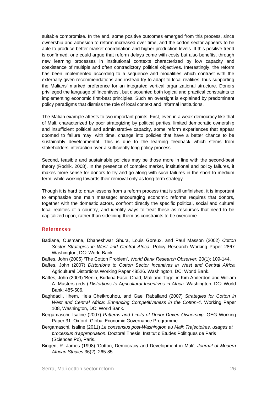suitable compromise. In the end, some positive outcomes emerged from this process, since ownership and adhesion to reform increased over time, and the cotton sector appears to be able to produce better market coordination and higher production levels. If this positive trend is confirmed, one could argue that reform delays come with costs but also benefits, through new learning processes in institutional contexts characterized by low capacity and coexistence of multiple and often contradictory political objectives. Interestingly, the reform has been implemented according to a sequence and modalities which contrast with the externally given recommendations and instead try to adapt to local realities, thus supporting the Malians' marked preference for an integrated vertical organizational structure. Donors privileged the language of 'incentives', but discounted both logical and practical constraints to implementing economic first-best principles. Such an oversight is explained by predominant policy paradigms that dismiss the role of local context and informal institutions.

The Malian example attests to two important points. First, even in a weak democracy like that of Mali, characterized by poor strategizing by political parties, limited democratic ownership and insufficient political and administrative capacity, some reform experiences that appear doomed to failure may, with time, change into policies that have a better chance to be sustainably developmental. This is due to the learning feedback which stems from stakeholders' interaction over a sufficiently long policy process.

Second, feasible and sustainable policies may be those more in line with the second-best theory (Rodrik, 2008). In the presence of complex market, institutional and policy failures, it makes more sense for donors to try and go along with such failures in the short to medium term, while working towards their removal only as long-term strategy.

Though it is hard to draw lessons from a reform process that is still unfinished, it is important to emphasize one main message: encouraging economic reforms requires that donors, together with the domestic actors, confront directly the specific political, social and cultural local realities of a country, and identify ways to treat these as resources that need to be capitalized upon, rather than sidelining them as constraints to be overcome.

#### References

- Badiane, Ousmane, Dhaneshwar Ghura, Louis Goreux, and Paul Masson (2002) *Cotton Sector Strategies in West and Central Africa*. Policy Research Working Paper 2867. Washington, DC: World Bank.
- Baffes, John (2005) 'The Cotton Problem', *World Bank Research Observer,* 20(1): 109-144.
- Baffes, John (2007) *Distortions to Cotton Sector Incentives in West and Central Africa.*  Agricultural Distortions Working Paper 48526. Washington, DC: World Bank.
- Baffes, John (2009) 'Benin, Burkina Faso, Chad, Mali and Togo' in Kim Anderdon and William A. Masters (eds.) *Distortions to Agricultural Incentives in Africa*. Washington, DC: World Bank: 485-506.
- Baghdadli, Ilhem, Hela Cheikrouhou, and Gael Raballand (2007) *Strategies for Cotton in West and Central Africa: Enhancing Competitiveness in the Cotton-4*. Working Paper 108, Washington, DC: World Bank.
- Bergamaschi, Isaline (2007) *Patterns and Limits of Donor-Driven Ownership*. GEG Working Paper 31. Oxford: Global Economic Governance Programme.
- Bergamaschi, Isaline (2011) *Le consensus post-Washington au Mali: Trajectoires, usages et processus d'appropriation.* Doctoral Thesis, Institut d'Etudes Politiques de Paris (Sciences Po), Paris.
- Bingen, R. James (1998) 'Cotton, Democracy and Development in Mali', *Journal of Modern African Studies* 36(2): 265-85.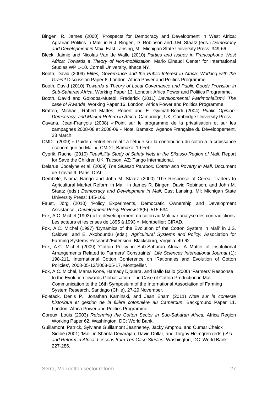- Bingen, R. James (2000) 'Prospects for Democracy and Development in West Africa: Agrarian Politics in Mali' in R.J. Bingen, D. Robinson and J.M. Staatz (eds.) *Democracy and Development in Mali*. East Lansing, MI: Michigan State University Press: 349-66.
- Bleck, Jaimie and Nicolas Van de Walle (2010) *Parties and Issues in Francophone West Africa: Towards a Theory of Non-mobilization.* Mario Einaudi Center for International Studies WP 1-10. Cornell University, Ithaca NY.
- Booth, David (2009) *Elites, Governance and the Public Interest in Africa: Working with the Grain?* Discussion Paper 6. London: Africa Power and Politics Programme.
- Booth, David (2010) *Towards a Theory of Local Governance and Public Goods Provision in Sub-Saharan Africa*. Working Paper 13. London: Africa Power and Politics Programme.
- Booth, David and Golooba-Mutebi, Frederick (2011) *Developmental Patrimonialism? The case of Rwanda*. Working Paper 16. London: Africa Power and Politics Programme.
- Bratton, Michael, Robert Mattes, Robert and E. Gyimah-Boadi (2004) *Public Opinion, Democracy, and Market Reform in Africa*. Cambridge, UK: Cambridge University Press.
- Cavana, Jean-François (2008) « Point sur le programme de la privatisation et sur les campagnes 2008-08 et 2008-09 » Note. Bamako: Agence Française du Développement, 23 March.
- CMDT (2009) « Guide d'entretien relatif à l'étude sur la contribution du coton a la croissance économique au Mali », CMDT, Bamako, 19 Feb.
- Cyprik, Rachel (2010) *Feasibility Study of Safety Nets in the Sikasso Region of Mali*. Report for Save the Children UK. Tucson, AZ: Tango International.
- Delarue, Jocelyne et al. (2009) *The Sikasso Paradox: Cotton and Poverty in Mali*. Document de Travail 9. Paris: DIAL.
- Dembelé, Niama Nango and John M. Staatz (2000) 'The Response of Cereal Traders to Agricultural Market Reform in Mali' in James R. Bingen, David Robinson, and John M. Staatz (eds.) *Democracy and Development in Mali*, East Lansing, MI: Michigan State University Press: 145-166.
- Faust, Jörg (2010) 'Policy Experiments, Democratic Ownership and Development Assistance', *Development Policy Review* 28(5): 515-534.
- Fok, A.C. Michel (1993) « Le développement du coton au Mali par analyse des contradictions: Les acteurs et les crises de 1895 à 1993 ». Montpellier: CIRAD.
- Fok, A.C. Michel (1997) 'Dynamics of the Evolution of the Cotton System in Mali' in J.S. Caldwell and E. Akoboundu (eds.), *Agricultural Systems and Policy.* Association for Farming Systems Research/Extension, Blacksburg, Virginia: 49-62.
- Fok, A.C. Michel (2009) 'Cotton Policy in Sub-Saharan Africa: A Matter of Institutional Arrangements Related to Farmers' Constraints', *Life Sciences International Journal* (1): 198-211, International Cotton Conference on 'Rationales and Evolution of Cotton Policies', 2008-05-13/2008-05-17, Montpellier.
- Fok, A.C. Michel, Mama Koné, Hamady Djouara, and Ballo Ballo (2000) 'Farmers' Response to the Evolution towards Globalisation: The Case of Cotton Production in Mali'. Communication to the 16th Symposium of the International Association of Farming System Research, Santiago (Chile), 27-29 November.
- Folefack, Denis P., Jonathan Kaminski, and Jean Enam (2011) *Note sur le contexte historique et gestion de la filière cotonnière au Cameroun*. Background Paper 11. London: Africa Power and Politics Programme.
- Goreux, Louis (2003) *Reforming the Cotton Sector in Sub-Saharan Africa.* Africa Region Working Paper 62. Washington, DC: World Bank.
- Guillamont, Patrick, Sylviane Guillamont Jeanneney, Jacky Amprou, and Oumar Cheick Sidibé (2001) 'Mali' in Shanta Devarajan, David Dollar, and Torgny Holmgren (eds.) *Aid and Reform in Africa: Lessons from Ten Case Studies*. Washington, DC: World Bank: 227-286.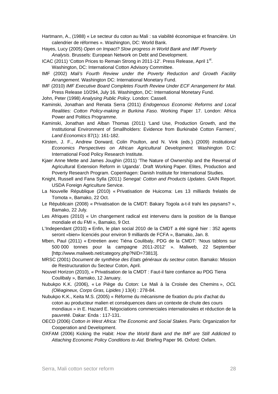Hartmann, A., (1988) « Le secteur du coton au Mali : sa viabilité économique et financière. Un calendrier de réformes ». Washington, DC: World Bank.

- Hayes, Lucy (2005) *Open on Impact? Slow progress in World Bank and IMF Poverty Analysis*. Brussels: European Network on Debt and Development.
- ICAC (2011) 'Cotton Prices to Remain Strong in 2011-12'. Press Release, April 1<sup>st</sup>. Washington, DC: International Cotton Advisory Committee.
- IMF (2002) *Mali's Fourth Review under the Poverty Reduction and Growth Facility Arrangement*. Washington DC: International Monetary Fund.
- IMF (2010) *IMF Executive Board Completes Fourth Review Under ECF Arrangement for Mali.*  Press Release 10/294, July 16. Washington, DC: International Monetary Fund.

John, Peter (1998) *Analysing Public Policy*. London: Cassell.

- Kaminski, Jonathan and Renata Serra (2011) *Endogenous Economic Reforms and Local Realities: Cotton Policy-making in Burkina Faso.* Working Paper 17. London: Africa Power and Politics Programme.
- Kaminski, Jonathan and Alban Thomas (2011) 'Land Use, Production Growth, and the Institutional Environment of Smallholders: Evidence from Burkinabè Cotton Farmers', *Land Economics* 87(1): 161-182.
- Kirsten, J. F., Andrew Dorward, Colin Poulton, and N. Vink (eds.) (2009) *Institutional Economics Perspectives on African Agricultural Development.* Washington D.C: International Food Policy Research Institute.
- Kjaer Anne Mette and James Joughin (2011) 'The Nature of Ownership and the Reversal of Agricultural Extension Reform in Uganda'. Draft Working Paper. Elites, Production and Poverty Research Program. Copenhagen: Danish Institute for International Studies.
- Knight, Russell and Fana Sylla (2011) *Senegal: Cotton and Products Updates*. GAIN Report. USDA Foreign Agriculture Service.
- La Nouvelle République (2010) « Privatisation de Huicoma: Les 13 milliards frelatés de Tomota », Bamako, 22 Oct.
- Le Républicain (2008) « Privatisation de la CMDT: Bakary Togola a-t-il trahi les paysans? », Bamako, 22 July.
- Les Afriques (2010) « Un changement radical est intervenu dans la position de la Banque mondiale et du FMI », Bamako, 9 Oct.
- L'Independant (2010) **«** Enfin, le plan social 2010 de la CMDT a été signé hier : 352 agents seront «bien» licenciés pour environ 9 milliards de FCFA », Bamako, Jan. 8.
- Mben, Paul (2011) « Entretien avec Tiéna Coulibaly, PDG de la CMDT: 'Nous tablons sur 500 000 tonnes pour la campagne 2011-2012' ». Maliweb, 22 September [http://www.maliweb.net/category.php?NID=73813].
- MRSC (2001) *Document de synthèse des Etats généraux du secteur coton*. Bamako: Mission de Restructuration du Secteur Coton, April.
- Nouvel Horizon (2010), « Privatisation de la CMDT : Faut-il faire confiance au PDG Tiena Coulibaly », Bamako, 12 January.
- Nubukpo K.K. (2006), « Le Piège du Coton: Le Mali à la Croisée des Chemins », *OCL (Oléagineux, Corps Gras, Lipides )* 13(4) : 278-84.
- Nubukpo K.K., Keita M.S. (2005) « Réforme du mécanisme de fixation du prix d'achat du coton au producteur malien et conséquences dans un contexte de chute des cours mondiaux » in E. Hazard E. Négociations commerciales internationales et réduction de la pauvreté. Dakar: Enda : 117-131.
- OECD (2006) *Cotton in West Africa: The Economic and Social Stakes.* Paris: Organization for Cooperation and Development.
- OXFAM (2006) Kicking the Habit: *How the World Bank and the IMF are Still Addicted to Attaching Economic Policy Conditions to Aid.* Briefing Paper 96. Oxford: Oxfam.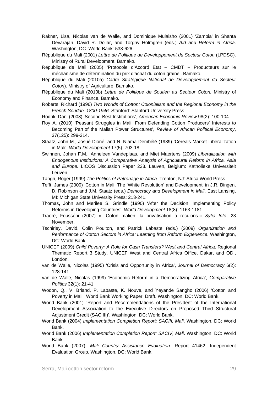- Rakner, Lisa, Nicolas van de Walle, and Dominique Mulaisho (2001) 'Zambia' in Shanta Devarajan, David R. Dollar, and Torgny Holmgren (eds.) *Aid and Reform in Africa*. Washington, DC. World Bank: 533-626.
- République du Mali (2001) *Lettre de Politique de Développement du Secteur Coton* (LPDSC). Ministry of Rural Development, Bamako.
- République de Mali (2005) 'Protocole d'Accord Etat CMDT Producteurs sur le méchanisme de détermination du prix d'achat du coton graine'. Bamako.
- République du Mali (2010a) *Cadre Stratégique National de Développement du Secteur Coton*). Ministry of Agriculture, Bamako.
- République du Mali (2010b) *Lettre de Politique de Soutien au Secteur Coton.* Ministry of Economy and Finance, Bamako.
- Roberts, Richard (1996) *Two Worlds of Cotton: Colonialism and the Regional Economy in the French Soudan, 1800-1946*. Stanford: Stanford University Press.
- Rodrik, Dani (2008) 'Second-Best Institutions', *American Economic Review* 98(2): 100-104.
- Roy A. (2010) 'Peasant Struggles in Mali: From Defending Cotton Producers' Interests to Becoming Part of the Malian Power Structures', *Review of African Political Economy*, 37(125): 299-314.
- Staatz, John M., Josué Dioné, and N. Niama Dembélé (1989) 'Cereals Market Liberalization in Mali', *World Development* 17(5): 703-18.
- Swinnen, Johan F.M., Anneleen Vandeplaas, and Miet Maertens (2009) *Liberalization with Endogenous Institutions: A Comparative Analysis of Agricultural Reform in Africa, Asia and Europe.* LICOS Discussion Paper 233. Leuven, Belgium: Katholieke Universiteit Leuven.
- Tangri, Roger (1999) *The Politics of Patronage in Africa*. Trenton, NJ: Africa World Press.
- Tefft, James (2000) 'Cotton in Mali: The 'White Revolution' and Development' in J.R. Bingen, D. Robinson and J.M. Staatz (eds.) *Democracy and Development in Mali*. East Lansing, MI: Michigan State University Press: 213-241.
- Thomas**,** John and Merilee S. Grindle (1990) 'After the Decision: Implementing Policy Reforms in Developing Countries', *World Development* 18(8): 1163-1181.
- Traoré, Fousséni (2007) « Coton malien: la privatisation à reculons » *Syfia Info*, 23 November.
- Tschirley, David, Colin Poulton, and Patrick Labaste (eds.) (2009) *Organization and Performance of Cotton Sectors in Africa: Learning from Reform Experience.* Washington, DC: World Bank.
- UNICEF (2009) *Child Poverty: A Role for Cash Transfers? West and Central Africa*. Regional Thematic Report 3 Study. UNICEF West and Central Africa Office, Dakar, and ODI, London.
- van de Walle, Nicolas (1995) 'Crisis and Opportunity in Africa', *Journal of Democracy* 6(2): 128-141.
- van de Walle, Nicolas (1999) 'Economic Reform in a Democratizing Africa', *Comparative Politics* 32(1): 21-41.
- Wodon, Q., V. Briand, P. Labaste, K. Nouve, and Yeyande Sangho (2006) 'Cotton and Poverty in Mali'. World Bank Working Paper, Draft. Washington, DC: World Bank.
- World Bank (2001) 'Report and Recommendations of the President of the International Development Association to the Executive Directors on Proposed Third Structural Adjustment Credit (SAC III)'. Washington, DC: World Bank.
- World Bank (2004) *Implementation Completion Report: SACIII, Mali*. Washington, DC: World Bank.
- World Bank (2006) *Implementation Completion Report: SACIV, Mali*. Washington, DC: World Bank.
- World Bank (2007), *Mali Country Assistance Evaluation*. Report 41462. Independent Evaluation Group. Washington, DC: World Bank.